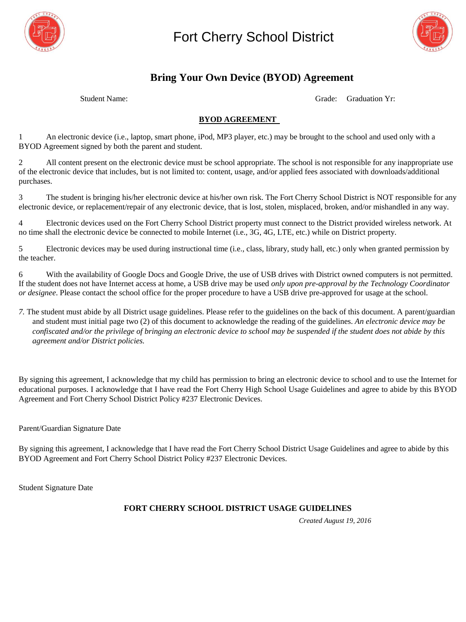



# **Bring Your Own Device (BYOD) Agreement**

Student Name: Grade: Graduation Yr:

### **BYOD AGREEMENT**

1 An electronic device (i.e., laptop, smart phone, iPod, MP3 player, etc.) may be brought to the school and used only with a BYOD Agreement signed by both the parent and student.

2 All content present on the electronic device must be school appropriate. The school is not responsible for any inappropriate use of the electronic device that includes, but is not limited to: content, usage, and/or applied fees associated with downloads/additional purchases.

3 The student is bringing his/her electronic device at his/her own risk. The Fort Cherry School District is NOT responsible for any electronic device, or replacement/repair of any electronic device, that is lost, stolen, misplaced, broken, and/or mishandled in any way.

4 Electronic devices used on the Fort Cherry School District property must connect to the District provided wireless network. At no time shall the electronic device be connected to mobile Internet (i.e., 3G, 4G, LTE, etc.) while on District property.

5 Electronic devices may be used during instructional time (i.e., class, library, study hall, etc.) only when granted permission by the teacher.

6 With the availability of Google Docs and Google Drive, the use of USB drives with District owned computers is not permitted. If the student does not have Internet access at home, a USB drive may be used *only upon pre-approval by the Technology Coordinator or designee*. Please contact the school office for the proper procedure to have a USB drive pre-approved for usage at the school.

*7.* The student must abide by all District usage guidelines. Please refer to the guidelines on the back of this document. A parent/guardian and student must initial page two (2) of this document to acknowledge the reading of the guidelines. *An electronic device may be confiscated and/or the privilege of bringing an electronic device to school may be suspended if the student does not abide by this agreement and/or District policies.* 

By signing this agreement, I acknowledge that my child has permission to bring an electronic device to school and to use the Internet for educational purposes. I acknowledge that I have read the Fort Cherry High School Usage Guidelines and agree to abide by this BYOD Agreement and Fort Cherry School District Policy #237 Electronic Devices.

Parent/Guardian Signature Date

By signing this agreement, I acknowledge that I have read the Fort Cherry School District Usage Guidelines and agree to abide by this BYOD Agreement and Fort Cherry School District Policy #237 Electronic Devices.

Student Signature Date

#### **FORT CHERRY SCHOOL DISTRICT USAGE GUIDELINES**

*Created August 19, 2016*